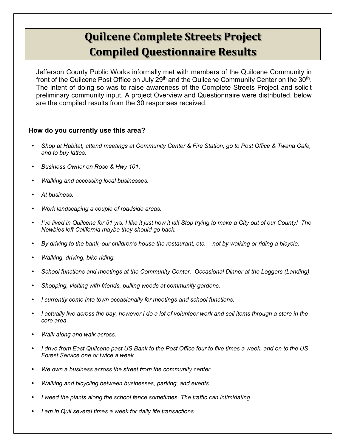# **Quilcene Complete Streets Project Compiled Questionnaire Results**

Jefferson County Public Works informally met with members of the Quilcene Community in front of the Quilcene Post Office on July 29<sup>th</sup> and the Quilcene Community Center on the 30<sup>th</sup>. The intent of doing so was to raise awareness of the Complete Streets Project and solicit preliminary community input. A project Overview and Questionnaire were distributed, below are the compiled results from the 30 responses received.

## **How do you currently use this area?**

- *Shop at Habitat, attend meetings at Community Center & Fire Station, go to Post Office & Twana Cafe, and to buy lattes.*
- *Business Owner on Rose & Hwy 101.*
- *Walking and accessing local businesses.*
- *At business.*
- *Work landscaping a couple of roadside areas.*
- *I've lived in Quilcene for 51 yrs. I like it just how it is!! Stop trying to make a City out of our County! The Newbies left California maybe they should go back.*
- *By driving to the bank, our children's house the restaurant, etc. not by walking or riding a bicycle.*
- *Walking, driving, bike riding.*
- *School functions and meetings at the Community Center. Occasional Dinner at the Loggers (Landing).*
- *Shopping, visiting with friends, pulling weeds at community gardens.*
- *I currently come into town occasionally for meetings and school functions.*
- *I actually live across the bay, however I do a lot of volunteer work and sell items through a store in the core area.*
- *Walk along and walk across.*
- *I drive from East Quilcene past US Bank to the Post Office four to five times a week, and on to the US Forest Service one or twice a week.*
- *We own a business across the street from the community center.*
- *Walking and bicycling between businesses, parking, and events.*
- *I weed the plants along the school fence sometimes. The traffic can intimidating.*
- *I am in Quil several times a week for daily life transactions.*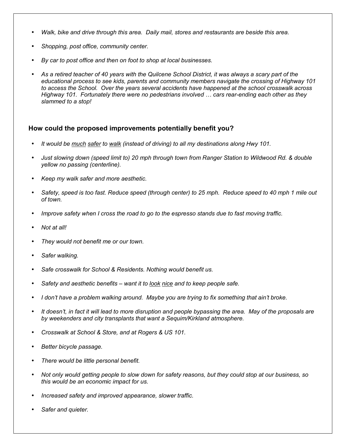- *Walk, bike and drive through this area. Daily mail, stores and restaurants are beside this area.*
- *Shopping, post office, community center.*
- *By car to post office and then on foot to shop at local businesses.*
- *As a retired teacher of 40 years with the Quilcene School District, it was always a scary part of the educational process to see kids, parents and community members navigate the crossing of Highway 101 to access the School. Over the years several accidents have happened at the school crosswalk across Highway 101. Fortunately there were no pedestrians involved ... cars rear-ending each other as they slammed to a stop!*

### **How could the proposed improvements potentially benefit you?**

- *It would be much safer to walk (instead of driving) to all my destinations along Hwy 101.*
- *Just slowing down (speed limit to) 20 mph through town from Ranger Station to Wildwood Rd. & double yellow no passing (centerline).*
- *Keep my walk safer and more aesthetic.*
- *Safety, speed is too fast. Reduce speed (through center) to 25 mph. Reduce speed to 40 mph 1 mile out of town.*
- *Improve safety when I cross the road to go to the espresso stands due to fast moving traffic.*
- *Not at all!*
- *They would not benefit me or our town.*
- *Safer walking.*
- *Safe crosswalk for School & Residents. Nothing would benefit us.*
- *Safety and aesthetic benefits want it to look nice and to keep people safe.*
- *I don't have a problem walking around. Maybe you are trying to fix something that ain't broke.*
- *It doesn't, in fact it will lead to more disruption and people bypassing the area. May of the proposals are by weekenders and city transplants that want a Sequim/Kirkland atmosphere.*
- *Crosswalk at School & Store, and at Rogers & US 101.*
- *Better bicycle passage.*
- *There would be little personal benefit.*
- *Not only would getting people to slow down for safety reasons, but they could stop at our business, so this would be an economic impact for us.*
- *Increased safety and improved appearance, slower traffic.*
- *Safer and quieter.*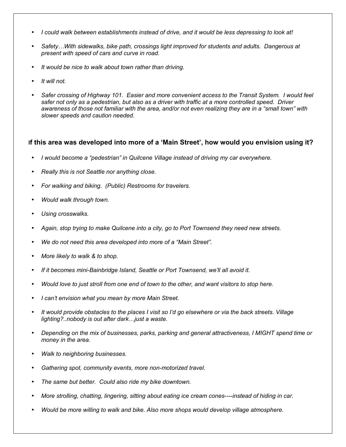- *I could walk between establishments instead of drive, and it would be less depressing to look at!*
- Safety...With sidewalks, bike path, crossings light improved for students and adults. Dangerous at *present with speed of cars and curve in road.*
- *It would be nice to walk about town rather than driving.*
- *It will not.*
- *Safer crossing of Highway 101. Easier and more convenient access to the Transit System. I would feel safer not only as a pedestrian, but also as a driver with traffic at a more controlled speed. Driver awareness of those not familiar with the area, and/or not even realizing they are in a "small town" with slower speeds and caution needed.*

### **If this area was developed into more of a 'Main Street', how would you envision using it?**

- *I would become a "pedestrian" in Quilcene Village instead of driving my car everywhere.*
- *Really this is not Seattle nor anything close.*
- *For walking and biking. (Public) Restrooms for travelers.*
- *Would walk through town.*
- *Using crosswalks.*
- *Again, stop trying to make Quilcene into a city, go to Port Townsend they need new streets.*
- *We do not need this area developed into more of a "Main Street".*
- *More likely to walk & to shop.*
- *If it becomes mini-Bainbridge Island, Seattle or Port Townsend, we'll all avoid it.*
- *Would love to just stroll from one end of town to the other, and want visitors to stop here.*
- *I can't envision what you mean by more Main Street.*
- *It would provide obstacles to the places I visit so I'd go elsewhere or via the back streets. Village lighting?..nobody is out after dark... just a waste.*
- *Depending on the mix of businesses, parks, parking and general attractiveness, I MIGHT spend time or money in the area.*
- *Walk to neighboring businesses.*
- *Gathering spot, community events, more non-motorized travel.*
- *The same but better. Could also ride my bike downtown.*
- *More strolling, chatting, lingering, sitting about eating ice cream cones----instead of hiding in car.*
- *Would be more willing to walk and bike. Also more shops would develop village atmosphere.*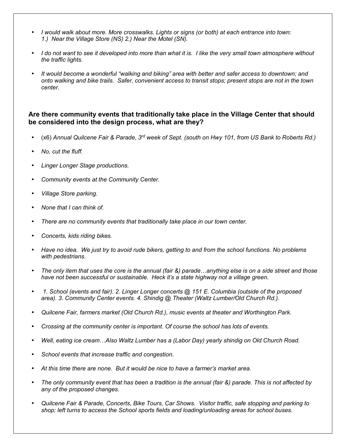- *I would walk about more. More crosswalks. Lights or signs (or both) at each entrance into town: 1.) Near the Village Store (NS) 2.) Near the Motel (SN).*
- *I do not want to see it developed into more than what it is. I like the very small town atmosphere without the traffic lights.*
- *It would become a wonderful "walking and biking" area with better and safer access to downtown; and onto walking and bike trails. Safer, convenient access to transit stops; present stops are not in the town center.*

## **Are there community events that traditionally take place in the Village Center that should be considered into the design process, what are they?**

- (x6) *Annual Quilcene Fair & Parade, 3rd week of Sept. (south on Hwy 101, from US Bank to Roberts Rd.)*
- *No, cut the fluff.*
- *Linger Longer Stage productions.*
- *Community events at the Community Center.*
- *Village Store parking.*
- *None that I can think of.*
- *There are no community events that traditionally take place in our town center.*
- *Concerts, kids riding bikes.*
- *Have no idea. We just try to avoid rude bikers, getting to and from the school functions. No problems with pedestrians.*
- *The only item that uses the core is the annual (fair &) parade...anything else is on a side street and those have not been successful or sustainable. Heck it's a state highway not a village green.*
- • *1. School (events and fair). 2. Linger Longer concerts @ 151 E. Columbia (outside of the proposed area). 3. Community Center events. 4. Shindig @ Theater (Waltz Lumber/Old Church Rd.).*
- *Quilcene Fair, farmers market (Old Church Rd.), music events at theater and Worthington Park.*
- *Crossing at the community center is important. Of course the school has lots of events.*
- *Well, eating ice cream...Also Waltz Lumber has a (Labor Day) yearly shindig on Old Church Road.*
- *School events that increase traffic and congestion.*
- *At this time there are none. But it would be nice to have a farmer's market area.*
- *The only community event that has been a tradition is the annual (fair &) parade. This is not affected by any of the proposed changes.*
- *Quilcene Fair & Parade, Concerts, Bike Tours, Car Shows. Visitor traffic, safe stopping and parking to shop; left turns to access the School sports fields and loading/unloading areas for school buses.*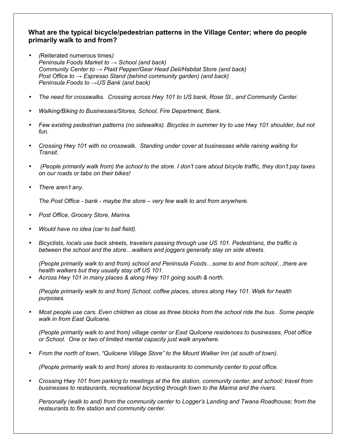## **What are the typical bicycle/pedestrian patterns in the Village Center; where do people primarily walk to and from?**

- *(*Reiterated numerous times*) Peninsula Foods Market to → School (and back) Community Center to → Plaid Pepper/Gear Head Deli/Habitat Store (and back) Post Office to → Espresso Stand (behind community garden) (and back) Peninsula Foods to →US Bank (and back)*
- *The need for crosswalks. Crossing across Hwy 101 to US bank, Rose St., and Community Center.*
- *Walking/Biking to Businesses/Stores, School, Fire Department, Bank.*
- *Few existing pedestrian patterns (no sidewalks). Bicycles in summer try to use Hwy 101 shoulder, but not fun.*
- *Crossing Hwy 101 with no crosswalk. Standing under cover at businesses while raining waiting for Transit.*
- • *(People primarily walk from) the school to the store. I don't care about bicycle traffic, they don't pay taxes on our roads or tabs on their bikes!*
- *There aren't any.*

*The Post Office - bank - maybe the store – very few walk to and from anywhere.* 

- *Post Office, Grocery Store, Marina.*
- *Would have no idea (car to ball field).*
- *Bicyclists, locals use back streets, travelers passing through use US 101. Pedestrians, the traffic is between the school and the store...walkers and joggers generally stay on side streets.*

*(People primarily walk to and from) school and Peninsula Foods...some to and from school...there are health walkers but they usually stay off US 101.* 

• *Across Hwy 101 in many places & along Hwy 101 going south & north.* 

*(People primarily walk to and from) School, coffee places, stores along Hwy 101. Walk for health purposes.* 

• *Most people use cars. Even children as close as three blocks from the school ride the bus. Some people walk in from East Quilcene.* 

*(People primarily walk to and from) village center or East Quilcene residences to businesses, Post office or School. One or two of limited mental capacity just walk anywhere.* 

• *From the north of town, "Quilcene Village Store" to the Mount Walker Inn (at south of town).* 

*(People primarily walk to and from) stores to restaurants to community center to post office.* 

• *Crossing Hwy 101 from parking to meetings at the fire station, community center, and school; travel from businesses to restaurants, recreational bicycling through town to the Marina and the rivers.* 

*Personally (walk to and) from the community center to Logger's Landing and Twana Roadhouse; from the restaurants to fire station and community center.*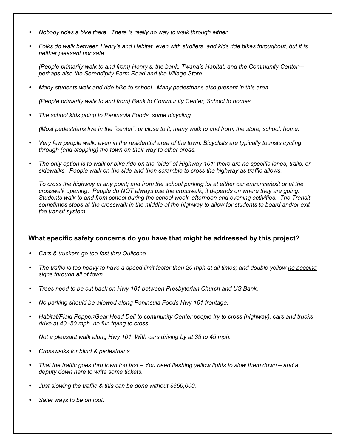- *Nobody rides a bike there. There is really no way to walk through either.*
- *Folks do walk between Henry's and Habitat, even with strollers, and kids ride bikes throughout, but it is neither pleasant nor safe.*

*(People primarily walk to and from) Henry's, the bank, Twana's Habitat, and the Community Center-- perhaps also the Serendipity Farm Road and the Village Store.* 

• *Many students walk and ride bike to school. Many pedestrians also present in this area.* 

*(People primarily walk to and from) Bank to Community Center, School to homes.* 

• *The school kids going to Peninsula Foods, some bicycling.* 

*(Most pedestrians live in the "center", or close to it, many walk to and from, the store, school, home.* 

- *Very few people walk, even in the residential area of the town. Bicyclists are typically tourists cycling through (and stopping) the town on their way to other areas.*
- *The only option is to walk or bike ride on the "side" of Highway 101; there are no specific lanes, trails, or sidewalks. People walk on the side and then scramble to cross the highway as traffic allows.*

*To cross the highway at any point; and from the school parking lot at either car entrance/exit or at the crosswalk opening. People do NOT always use the crosswalk; it depends on where they are going. Students walk to and from school during the school week, afternoon and evening activities. The Transit sometimes stops at the crosswalk in the middle of the highway to allow for students to board and/or exit the transit system.* 

## **What specific safety concerns do you have that might be addressed by this project?**

- *Cars & truckers go too fast thru Quilcene.*
- *The traffic is too heavy to have a speed limit faster than 20 mph at all times; and double yellow no passing signs through all of town.*
- *Trees need to be cut back on Hwy 101 between Presbyterian Church and US Bank.*
- *No parking should be allowed along Peninsula Foods Hwy 101 frontage.*
- *Habitat/Plaid Pepper/Gear Head Deli to community Center people try to cross (highway), cars and trucks drive at 40 -50 mph. no fun trying to cross.*

*Not a pleasant walk along Hwy 101. With cars driving by at 35 to 45 mph.* 

- *Crosswalks for blind & pedestrians.*
- *That the traffic goes thru town too fast You need flashing yellow lights to slow them down and a deputy down here to write some tickets.*
- *Just slowing the traffic & this can be done without \$650,000.*
- *Safer ways to be on foot.*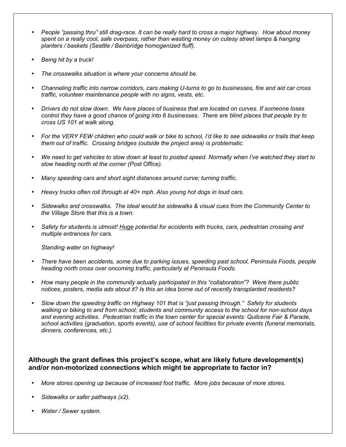- *People "passing thru" still drag-race. It can be really hard to cross a major highway. How about money spent on a really cool, safe overpass, rather than wasting money on cutesy street lamps & hanging planters / baskets (Seattle / Bainbridge homogenized fluff).*
- *Being hit by a truck!*
- *The crosswalks situation is where your concerns should be.*
- *Channeling traffic into narrow corridors, cars making U-turns to go to businesses, fire and aid car cross traffic, volunteer maintenance people with no signs, vests, etc.*
- *Drivers do not slow down. We have places of business that are located on curves. If someone loses control they have a good chance of going into 6 businesses. There are blind places that people try to cross US 101 at walk along.*
- *For the VERY FEW children who could walk or bike to school, I'd like to see sidewalks or trails that keep them out of traffic. Crossing bridges (outside the project area) is problematic.*
- *We need to get vehicles to slow down at least to posted speed. Normally when I've watched they start to slow heading north at the corner (Post Office).*
- *Many speeding cars and short sight distances around curve; turning traffic.*
- *Heavy trucks often roll through at 40+ mph. Also young hot dogs in loud cars.*
- *Sidewalks and crosswalks. The ideal would be sidewalks & visual cues from the Community Center to the Village Store that this is a town.*
- *Safety for students is utmost! Huge potential for accidents with trucks, cars, pedestrian crossing and multiple entrances for cars.*

*Standing water on highway!* 

- *There have been accidents, some due to parking issues, speeding past school, Peninsula Foods, people heading north cross over oncoming traffic, particularly at Peninsula Foods.*
- *How many people in the community actually participated in this "collaboration"? Were there public notices, posters, media ads about it? Is this an idea borne out of recently transplanted residents?*
- *Slow down the speeding traffic on Highway 101 that is "just passing through." Safety for students walking or biking to and from school; students and community access to the school for non-school days and evening activities. Pedestrian traffic in the town center for special events: Quilcene Fair & Parade, school activities (graduation, sports events), use of school facilities for private events (funeral memorials, dinners, conferences, etc.).*

# **Although the grant defines this project's scope, what are likely future development(s) and/or non-motorized connections which might be appropriate to factor in?**

- *More stores opening up because of increased foot traffic. More jobs because of more stores.*
- *Sidewalks or safer pathways (x2).*
- *Water / Sewer system.*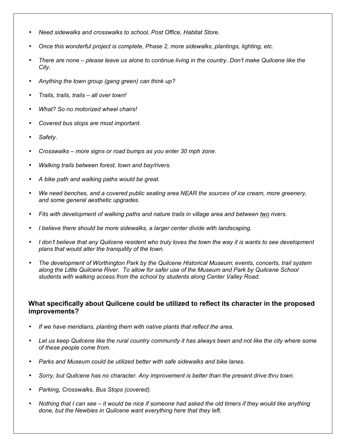- *Need sidewalks and crosswalks to school, Post Office, Habitat Store.*
- *Once this wonderful project is complete, Phase 2, more sidewalks, plantings, lighting, etc.*
- *There are none please leave us alone to continue living in the country. Don't make Quilcene like the City.*
- *Anything the town group (gang green) can think up?*
- *Trails, trails, trails all over town!*
- *What? So no motorized wheel chairs!*
- *Covered bus stops are most important.*
- *Safety.*
- *Crosswalks more signs or road bumps as you enter 30 mph zone.*
- *Walking trails between forest, town and bay/rivers.*
- *A bike path and walking paths would be great.*
- *We need benches, and a covered public seating area NEAR the sources of ice cream, more greenery, and some general aesthetic upgrades.*
- *Fits with development of walking paths and nature trails in village area and between two rivers.*
- *I believe there should be more sidewalks, a larger center divide with landscaping.*
- *I don't believe that any Quilcene resident who truly loves the town the way it is wants to see development plans that would alter the tranquility of the town.*
- *The development of Worthington Park by the Quilcene Historical Museum; events, concerts, trail system along the Little Quilcene River. To allow for safer use of the Museum and Park by Quilcene School students with walking access from the school by students along Center Valley Road.*

## **What specifically about Quilcene could be utilized to reflect its character in the proposed improvements?**

- *If we have meridians, planting them with native plants that reflect the area.*
- *Let us keep Quilcene like the rural country community it has always been and not like the city where some of these people come from.*
- *Parks and Museum could be utilized better with safe sidewalks and bike lanes.*
- *Sorry, but Quilcene has no character. Any improvement is better than the present drive thru town.*
- *Parking, Crosswalks, Bus Stops (covered).*
- *Nothing that I can see it would be nice if someone had asked the old timers if they would like anything done, but the Newbies in Quilcene want everything here that they left.*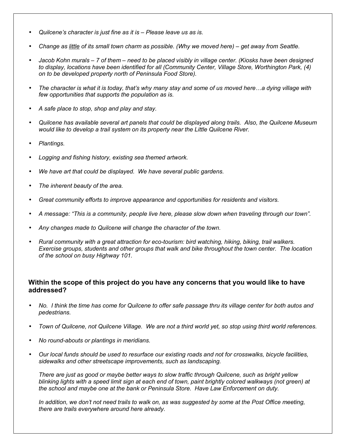- *Quilcene's character is just fine as it is Please leave us as is.*
- *Change as little of its small town charm as possible. (Why we moved here) get away from Seattle.*
- *Jacob Kohn murals 7 of them need to be placed visibly in village center. (Kiosks have been designed to display, locations have been identified for all (Community Center, Village Store, Worthington Park, (4) on to be developed property north of Peninsula Food Store).*
- *The character is what it is today, that's why many stay and some of us moved here...a dying village with few opportunities that supports the population as is.*
- *A safe place to stop, shop and play and stay.*
- *Quilcene has available several art panels that could be displayed along trails. Also, the Quilcene Museum would like to develop a trail system on its property near the Little Quilcene River.*
- *Plantings.*
- *Logging and fishing history, existing sea themed artwork.*
- *We have art that could be displayed. We have several public gardens.*
- *The inherent beauty of the area.*
- *Great community efforts to improve appearance and opportunities for residents and visitors.*
- *A message: "This is a community, people live here, please slow down when traveling through our town".*
- *Any changes made to Quilcene will change the character of the town.*
- *Rural community with a great attraction for eco-tourism: bird watching, hiking, biking, trail walkers. Exercise groups, students and other groups that walk and bike throughout the town center. The location of the school on busy Highway 101.*

# **Within the scope of this project do you have any concerns that you would like to have addressed?**

- *No. I think the time has come for Quilcene to offer safe passage thru its village center for both autos and pedestrians.*
- *Town of Quilcene, not Quilcene Village. We are not a third world yet, so stop using third world references.*
- *No round-abouts or plantings in meridians.*
- *Our local funds should be used to resurface our existing roads and not for crosswalks, bicycle facilities, sidewalks and other streetscape improvements, such as landscaping.*

*There are just as good or maybe better ways to slow traffic through Quilcene, such as bright yellow blinking lights with a speed limit sign at each end of town, paint brightly colored walkways (not green) at the school and maybe one at the bank or Peninsula Store. Have Law Enforcement on duty.* 

*In addition, we don't not need trails to walk on, as was suggested by some at the Post Office meeting, there are trails everywhere around here already.*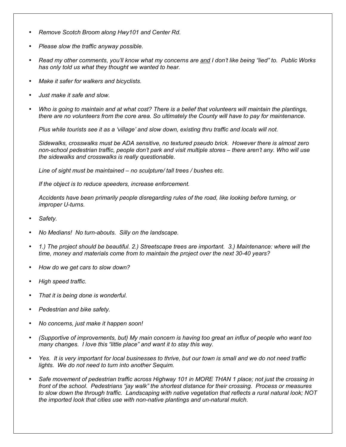- *Remove Scotch Broom along Hwy101 and Center Rd.*
- *Please slow the traffic anyway possible.*
- *Read my other comments, you'll know what my concerns are and I don't like being "lied" to. Public Works has only told us what they thought we wanted to hear.*
- *Make it safer for walkers and bicyclists.*
- *Just make it safe and slow.*
- *Who is going to maintain and at what cost? There is a belief that volunteers will maintain the plantings, there are no volunteers from the core area. So ultimately the County will have to pay for maintenance.*

*Plus while tourists see it as a 'village' and slow down, existing thru traffic and locals will not.* 

*Sidewalks, crosswalks must be ADA sensitive, no textured pseudo brick. However there is almost zero non-school pedestrian traffic, people don't park and visit multiple stores – there aren't any. Who will use the sidewalks and crosswalks is really questionable.* 

*Line of sight must be maintained – no sculpture/ tall trees / bushes etc.* 

*If the object is to reduce speeders, increase enforcement.* 

*Accidents have been primarily people disregarding rules of the road, like looking before turning, or improper U-turns.* 

- *Safety.*
- *No Medians! No turn-abouts. Silly on the landscape.*
- *1.) The project should be beautiful. 2.) Streetscape trees are important. 3.) Maintenance: where will the time, money and materials come from to maintain the project over the next 30-40 years?*
- *How do we get cars to slow down?*
- *High speed traffic.*
- *That it is being done is wonderful.*
- *Pedestrian and bike safety.*
- *No concerns, just make it happen soon!*
- *(Supportive of improvements, but) My main concern is having too great an influx of people who want too many changes. I love this "little place" and want it to stay this way.*
- *Yes. It is very important for local businesses to thrive, but our town is small and we do not need traffic lights. We do not need to turn into another Sequim.*
- *Safe movement of pedestrian traffic across Highway 101 in MORE THAN 1 place; not just the crossing in front of the school. Pedestrians "jay walk" the shortest distance for their crossing. Process or measures to slow down the through traffic. Landscaping with native vegetation that reflects a rural natural look; NOT the imported look that cities use with non-native plantings and un-natural mulch.*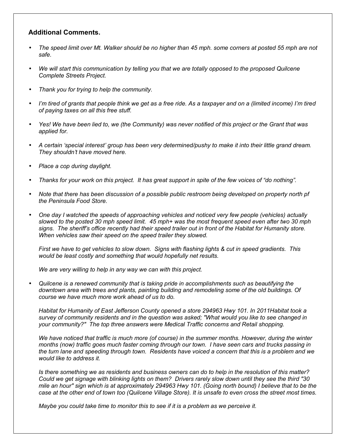## **Additional Comments.**

- *The speed limit over Mt. Walker should be no higher than 45 mph. some corners at posted 55 mph are not safe.*
- *We will start this communication by telling you that we are totally opposed to the proposed Quilcene Complete Streets Project.*
- *Thank you for trying to help the community.*
- *I'm tired of grants that people think we get as a free ride. As a taxpayer and on a (limited income) I'm tired of paying taxes on all this free stuff.*
- *Yes! We have been lied to, we (the Community) was never notified of this project or the Grant that was applied for.*
- *A certain 'special interest' group has been very determined/pushy to make it into their little grand dream. They shouldn't have moved here.*
- *Place a cop during daylight.*
- *Thanks for your work on this project. It has great support in spite of the few voices of "do nothing".*
- *Note that there has been discussion of a possible public restroom being developed on property north pf the Peninsula Food Store.*
- *One day I watched the speeds of approaching vehicles and noticed very few people (vehicles) actually slowed to the posted 30 mph speed limit. 45 mph+ was the most frequent speed even after two 30 mph signs. The sheriff's office recently had their speed trailer out in front of the Habitat for Humanity store. When vehicles saw their speed on the speed trailer they slowed.*

*First we have to get vehicles to slow down. Signs with flashing lights & cut in speed gradients. This would be least costly and something that would hopefully net results.* 

*We are very willing to help in any way we can with this project.* 

• *Quilcene is a renewed community that is taking pride in accomplishments such as beautifying the downtown area with trees and plants, painting building and remodeling some of the old buildings. Of course we have much more work ahead of us to do.* 

*Habitat for Humanity of East Jefferson County opened a store 294963 Hwy 101. In 2011Habitat took a survey of community residents and in the question was asked; "What would you like to see changed in your community?" The top three answers were Medical Traffic concerns and Retail shopping.* 

*We have noticed that traffic is much more (of course) in the summer months. However, during the winter months (now) traffic goes much faster coming through our town. I have seen cars and trucks passing in the turn lane and speeding through town. Residents have voiced a concern that this is a problem and we would like to address it.* 

*Is there something we as residents and business owners can do to help in the resolution of this matter? Could we get signage with blinking lights on them? Drivers rarely slow down until they see the third "30 mile an hour" sign which is at approximately 294963 Hwy 101. (Going north bound) I believe that to be the case at the other end of town too (Quilcene Village Store). It is unsafe to even cross the street most times.* 

*Maybe you could take time to monitor this to see if it is a problem as we perceive it.*